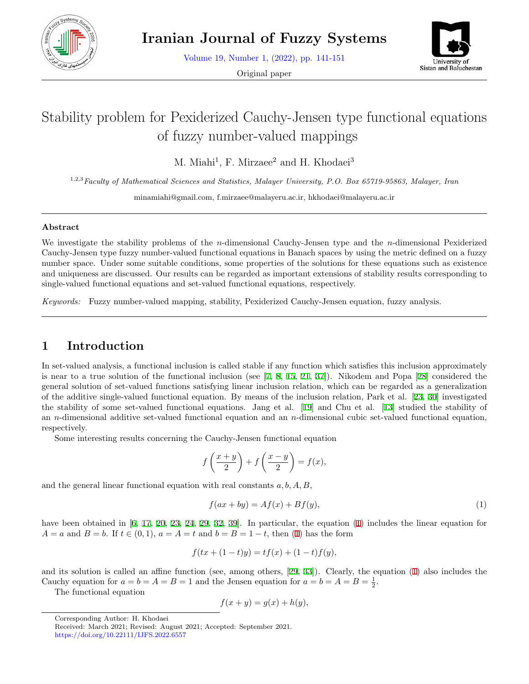

Volume 19, Number 1, (2022), pp. 141-151

Original paper



# Stability problem for Pexiderized Cauchy-Jensen type functional equations of fuzzy number-valued mappings

M. Miahi<sup>1</sup>, F. Mirzaee<sup>2</sup> and H. Khodaei<sup>3</sup>

1,2,3*Faculty of Mathematical Sciences and Statistics, Malayer University, P.O. Box 65719-95863, Malayer, Iran*

minamiahi@gmail.com, f.mirzaee@malayeru.ac.ir, hkhodaei@malayeru.ac.ir

#### **Abstract**

We investigate the stability problems of the *n*-dimensional Cauchy-Jensen type and the *n*-dimensional Pexiderized Cauchy-Jensen type fuzzy number-valued functional equations in Banach spaces by using the metric defined on a fuzzy number space. Under some suitable conditions, some properties of the solutions for these equations such as existence and uniqueness are discussed. Our results can be regarded as important extensions of stability results corresponding to single-valued functional equations and set-valued functional equations, respectively.

*Keywords:* Fuzzy number-valued mapping, stability, Pexiderized Cauchy-Jensen equation, fuzzy analysis.

### **1 Introduction**

In set-valued analysis, a functional inclusion is called stable if any function which satisfies this inclusion approximately is near to a true solution of the functional inclusion (see [[7,](#page-8-0) [8,](#page-8-1) [15,](#page-9-0) [21,](#page-9-1) [37](#page-10-0)]). Nikodem and Popa [[28](#page-9-2)] considered the general solution of set-valued functions satisfying linear inclusion relation, which can be regarded as a generalization of the additive single-valued functional equation. By means of the inclusion relation, Park et al. [[23](#page-9-3), [30\]](#page-9-4) investigated the stability of some set-valued functional equations. Jang et al. [[19\]](#page-9-5) and Chu et al. [[13](#page-9-6)] studied the stability of an *n*-dimensional additive set-valued functional equation and an *n*-dimensional cubic set-valued functional equation, respectively.

Some interesting results concerning the Cauchy-Jensen functional equation

$$
f\left(\frac{x+y}{2}\right) + f\left(\frac{x-y}{2}\right) = f(x),
$$

and the general linear functional equation with real constants *a, b, A, B*,

<span id="page-0-0"></span>
$$
f(ax + by) = Af(x) + Bf(y),
$$
\n<sup>(1)</sup>

have been obtained in [[6,](#page-8-2) [17](#page-9-7), [20](#page-9-8), [23,](#page-9-3) [24,](#page-9-9) [29](#page-9-10), [32](#page-10-1), [39\]](#page-10-2). In particular, the equation ([1\)](#page-0-0) includes the linear equation for *A* = *a* and *B* = *b*. If  $t \in (0,1)$  $t \in (0,1)$ ,  $a = A = t$  and  $b = B = 1 - t$ , then (1) has the form

$$
f(tx + (1 - t)y) = tf(x) + (1 - t)f(y),
$$

and its solution is called an affine function (see, among others, [[29,](#page-9-10) [33](#page-10-3)]). Clearly, the equation ([1\)](#page-0-0) also includes the Cauchy equation for  $a = b = A = B = 1$  and the Jensen equation for  $a = b = A = B = \frac{1}{2}$ .

The functional equation

$$
f(x + y) = g(x) + h(y),
$$

Corresponding Author: H. Khodaei

Received: March 2021; Revised: August 2021; Accepted: September 2021. https://doi.org/10.22111/IJFS.2022.6557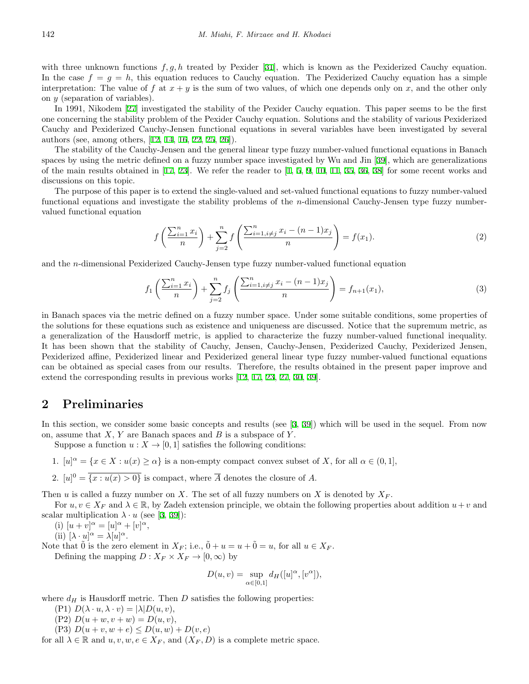with three unknown functions  $f, g, h$  treated by Pexider [[31\]](#page-9-11), which is known as the Pexiderized Cauchy equation. In the case  $f = g = h$ , this equation reduces to Cauchy equation. The Pexiderized Cauchy equation has a simple interpretation: The value of  $f$  at  $x + y$  is the sum of two values, of which one depends only on  $x$ , and the other only on *y* (separation of variables).

In 1991, Nikodem [\[27](#page-9-12)] investigated the stability of the Pexider Cauchy equation. This paper seems to be the first one concerning the stability problem of the Pexider Cauchy equation. Solutions and the stability of various Pexiderized Cauchy and Pexiderized Cauchy-Jensen functional equations in several variables have been investigated by several authors (see, among others, [[12,](#page-9-13) [14,](#page-9-14) [16,](#page-9-15) [22,](#page-9-16) [25,](#page-9-17) [26\]](#page-9-18)).

The stability of the Cauchy-Jensen and the general linear type fuzzy number-valued functional equations in Banach spaces by using the metric defined on a fuzzy number space investigated by Wu and Jin [[39\]](#page-10-2), which are generalizations of the main results obtained in  $[17, 23]$  $[17, 23]$  $[17, 23]$  $[17, 23]$ . We refer the reader to  $[1, 5, 9, 10, 11, 35, 36, 38]$  $[1, 5, 9, 10, 11, 35, 36, 38]$  $[1, 5, 9, 10, 11, 35, 36, 38]$  $[1, 5, 9, 10, 11, 35, 36, 38]$  $[1, 5, 9, 10, 11, 35, 36, 38]$  $[1, 5, 9, 10, 11, 35, 36, 38]$  $[1, 5, 9, 10, 11, 35, 36, 38]$  $[1, 5, 9, 10, 11, 35, 36, 38]$  $[1, 5, 9, 10, 11, 35, 36, 38]$  $[1, 5, 9, 10, 11, 35, 36, 38]$  $[1, 5, 9, 10, 11, 35, 36, 38]$  $[1, 5, 9, 10, 11, 35, 36, 38]$  $[1, 5, 9, 10, 11, 35, 36, 38]$  $[1, 5, 9, 10, 11, 35, 36, 38]$  $[1, 5, 9, 10, 11, 35, 36, 38]$  for some recent works and discussions on this topic.

The purpose of this paper is to extend the single-valued and set-valued functional equations to fuzzy number-valued functional equations and investigate the stability problems of the *n*-dimensional Cauchy-Jensen type fuzzy numbervalued functional equation

<span id="page-1-1"></span><span id="page-1-0"></span>
$$
f\left(\frac{\sum_{i=1}^{n} x_i}{n}\right) + \sum_{j=2}^{n} f\left(\frac{\sum_{i=1, i \neq j}^{n} x_i - (n-1)x_j}{n}\right) = f(x_1).
$$
 (2)

and the *n*-dimensional Pexiderized Cauchy-Jensen type fuzzy number-valued functional equation

$$
f_1\left(\frac{\sum_{i=1}^n x_i}{n}\right) + \sum_{j=2}^n f_j\left(\frac{\sum_{i=1, i \neq j}^n x_i - (n-1)x_j}{n}\right) = f_{n+1}(x_1),\tag{3}
$$

in Banach spaces via the metric defined on a fuzzy number space. Under some suitable conditions, some properties of the solutions for these equations such as existence and uniqueness are discussed. Notice that the supremum metric, as a generalization of the Hausdorff metric, is applied to characterize the fuzzy number-valued functional inequality. It has been shown that the stability of Cauchy, Jensen, Cauchy-Jensen, Pexiderized Cauchy, Pexiderized Jensen, Pexiderized affine, Pexiderized linear and Pexiderized general linear type fuzzy number-valued functional equations can be obtained as special cases from our results. Therefore, the results obtained in the present paper improve and extend the corresponding results in previous works [[12,](#page-9-13) [17,](#page-9-7) [23,](#page-9-3) [27,](#page-9-12) [30,](#page-9-4) [39](#page-10-2)].

#### **2 Preliminaries**

In this section, we consider some basic concepts and results (see [\[3](#page-8-7), [39\]](#page-10-2)) which will be used in the sequel. From now on, assume that *X*, *Y* are Banach spaces and *B* is a subspace of *Y* .

Suppose a function  $u: X \to [0, 1]$  satisfies the following conditions:

- 1.  $[u]^{\alpha} = \{x \in X : u(x) \ge \alpha\}$  is a non-empty compact convex subset of *X*, for all  $\alpha \in (0,1],$
- 2.  $[u]^0 = \overline{\{x : u(x) > 0\}}$  is compact, where  $\overline{A}$  denotes the closure of A.

Then *u* is called a fuzzy number on *X*. The set of all fuzzy numbers on *X* is denoted by *X<sup>F</sup>* .

For  $u, v \in X_F$  and  $\lambda \in \mathbb{R}$ , by Zadeh extension principle, we obtain the following properties about addition  $u+v$  and scalar multiplication  $\lambda \cdot u$  (see [\[3](#page-8-7), [39](#page-10-2)]):

(i)  $[u + v]^{\alpha} = [u]^{\alpha} + [v]^{\alpha},$ 

(ii)  $[\lambda \cdot u]^\alpha = \lambda [u]^\alpha$ .

Note that  $\tilde{0}$  is the zero element in  $X_F$ ; i.e.,  $\tilde{0} + u = u + \tilde{0} = u$ , for all  $u \in X_F$ .

Defining the mapping  $D: X_F \times X_F \rightarrow [0, \infty)$  by

$$
D(u, v) = \sup_{\alpha \in [0, 1]} d_H([u]^\alpha, [v^\alpha]),
$$

where  $d_H$  is Hausdorff metric. Then *D* satisfies the following properties:

- $(P1) D(\lambda \cdot u, \lambda \cdot v) = |\lambda| D(u, v),$
- $(P2) D(u + w, v + w) = D(u, v),$
- (P3)  $D(u + v, w + e) \le D(u, w) + D(v, e)$

for all  $\lambda \in \mathbb{R}$  and  $u, v, w, e \in X_F$ , and  $(X_F, D)$  is a complete metric space.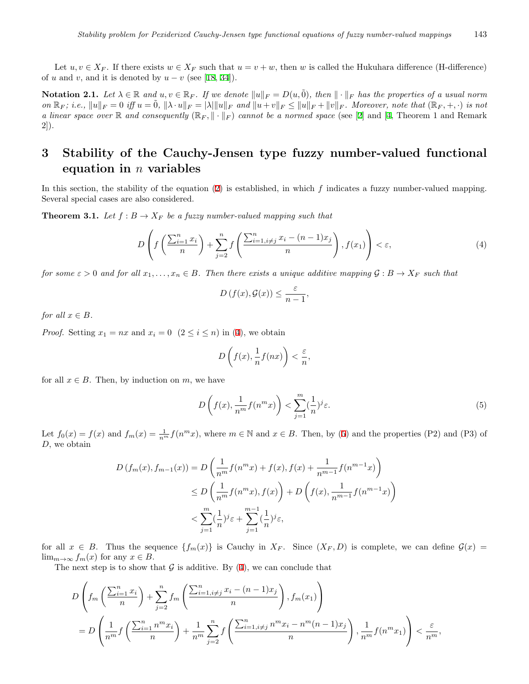Let  $u, v \in X_F$ . If there exists  $w \in X_F$  such that  $u = v + w$ , then *w* is called the Hukuhara difference (H-difference) of *u* and *v*, and it is denoted by  $u - v$  (see [\[18](#page-9-20), [34](#page-10-7)]).

**Notation 2.1.** Let  $\lambda \in \mathbb{R}$  and  $u, v \in \mathbb{R}_F$ . If we denote  $||u||_F = D(u, \tilde{0})$ , then  $||\cdot||_F$  has the properties of a usual norm on  $\mathbb{R}_F$ ; i.e.,  $||u||_F = 0$  iff  $u = 0$ ,  $||\lambda \cdot u||_F = |\lambda| ||u||_F$  and  $||u + v||_F \le ||u||_F + ||v||_F$ . Moreover, note that  $(\mathbb{R}_F, +, \cdot)$  is not *a linear space over* R *and consequently*  $(\mathbb{R}_F, \|\cdot\|_F)$  *cannot be a normed space* (see [\[2](#page-8-8)] and [[4,](#page-8-9) Theorem 1 and Remark 2]).

## **3 Stability of the Cauchy-Jensen type fuzzy number-valued functional equation in** *n* **variables**

In this section, the stability of the equation [\(2](#page-1-0)) is established, in which *f* indicates a fuzzy number-valued mapping. Several special cases are also considered.

<span id="page-2-2"></span>**Theorem 3.1.** Let  $f : B \to X_F$  be a fuzzy number-valued mapping such that

$$
D\left(f\left(\frac{\sum_{i=1}^{n}x_i}{n}\right) + \sum_{j=2}^{n}f\left(\frac{\sum_{i=1, i\neq j}^{n}x_i - (n-1)x_j}{n}\right), f(x_1)\right) < \varepsilon,\tag{4}
$$

*for some*  $\varepsilon > 0$  *and for all*  $x_1, \ldots, x_n \in B$ . Then there exists a unique additive mapping  $\mathcal{G}: B \to X_F$  *such that* 

<span id="page-2-0"></span>
$$
D(f(x), \mathcal{G}(x)) \leq \frac{\varepsilon}{n-1},
$$

*for all*  $x \in B$ *.* 

*Proof.* Setting  $x_1 = nx$  and  $x_i = 0$   $(2 \leq i \leq n)$  in ([4\)](#page-2-0), we obtain

<span id="page-2-1"></span>
$$
D\left(f(x),\frac{1}{n}f(nx)\right) < \frac{\varepsilon}{n},
$$

for all  $x \in B$ . Then, by induction on  $m$ , we have

$$
D\left(f(x), \frac{1}{n^m}f(n^m x)\right) < \sum_{j=1}^m (\frac{1}{n})^j \varepsilon. \tag{5}
$$

Let  $f_0(x) = f(x)$  and  $f_m(x) = \frac{1}{n^m} f(n^m x)$ , where  $m \in \mathbb{N}$  and  $x \in B$ . Then, by [\(5](#page-2-1)) and the properties (P2) and (P3) of *D*, we obtain

$$
D(f_m(x), f_{m-1}(x)) = D\left(\frac{1}{n^m}f(n^mx) + f(x), f(x) + \frac{1}{n^{m-1}}f(n^{m-1}x)\right)
$$
  
\n
$$
\leq D\left(\frac{1}{n^m}f(n^mx), f(x)\right) + D\left(f(x), \frac{1}{n^{m-1}}f(n^{m-1}x)\right)
$$
  
\n
$$
< \sum_{j=1}^m (\frac{1}{n})^j \varepsilon + \sum_{j=1}^{m-1} (\frac{1}{n})^j \varepsilon,
$$

for all  $x \in B$ . Thus the sequence  $\{f_m(x)\}\$ is Cauchy in  $X_F$ . Since  $(X_F, D)$  is complete, we can define  $\mathcal{G}(x)$ lim<sub>*m*→∞</sub>  $f_m(x)$  for any  $x \in B$ .

The next step is to show that  $G$  is additive. By ([4\)](#page-2-0), we can conclude that

$$
D\left(f_m\left(\frac{\sum_{i=1}^n x_i}{n}\right) + \sum_{j=2}^n f_m\left(\frac{\sum_{i=1, i\neq j}^n x_i - (n-1)x_j}{n}\right), f_m(x_1)\right)
$$
  
= 
$$
D\left(\frac{1}{n^m}f\left(\frac{\sum_{i=1}^n n^m x_i}{n}\right) + \frac{1}{n^m} \sum_{j=2}^n f\left(\frac{\sum_{i=1, i\neq j}^n n^m x_i - n^m(n-1)x_j}{n}\right), \frac{1}{n^m}f(n^m x_1)\right) < \frac{\varepsilon}{n^m},
$$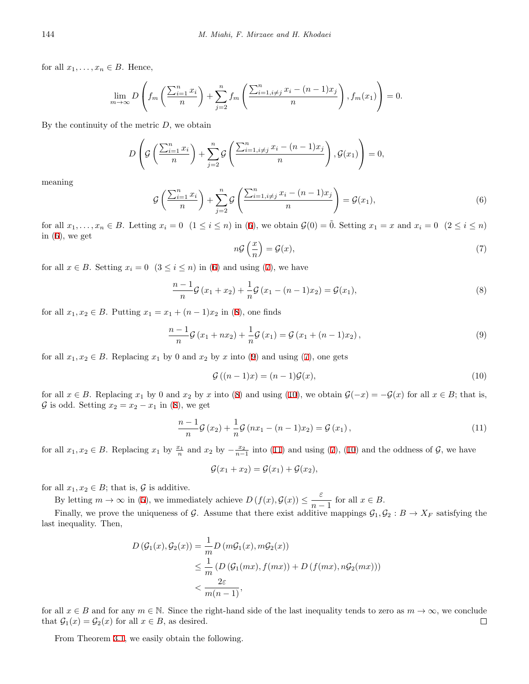for all  $x_1, \ldots, x_n \in B$ . Hence,

$$
\lim_{m \to \infty} D\left(f_m\left(\frac{\sum_{i=1}^n x_i}{n}\right) + \sum_{j=2}^n f_m\left(\frac{\sum_{i=1, i \neq j}^n x_i - (n-1)x_j}{n}\right), f_m(x_1)\right) = 0.
$$

By the continuity of the metric *D*, we obtain

$$
D\left(G\left(\frac{\sum_{i=1}^{n}x_i}{n}\right) + \sum_{j=2}^{n}G\left(\frac{\sum_{i=1, i\neq j}^{n}x_i - (n-1)x_j}{n}\right), G(x_1)\right) = 0,
$$

<span id="page-3-0"></span>meaning

$$
\mathcal{G}\left(\frac{\sum_{i=1}^{n}x_i}{n}\right) + \sum_{j=2}^{n}\mathcal{G}\left(\frac{\sum_{i=1, i \neq j}^{n}x_i - (n-1)x_j}{n}\right) = \mathcal{G}(x_1),\tag{6}
$$

<span id="page-3-1"></span>for all  $x_1, \ldots, x_n \in B$ . Letting  $x_i = 0$   $(1 \le i \le n)$  in ([6\)](#page-3-0), we obtain  $\mathcal{G}(0) = \tilde{0}$ . Setting  $x_1 = x$  and  $x_i = 0$   $(2 \le i \le n)$ in ([6\)](#page-3-0), we get

<span id="page-3-3"></span><span id="page-3-2"></span>
$$
n\mathcal{G}\left(\frac{x}{n}\right) = \mathcal{G}(x),\tag{7}
$$

for all  $x \in B$ . Setting  $x_i = 0$  ( $3 \le i \le n$ ) in [\(6](#page-3-0)) and using ([7\)](#page-3-1), we have

$$
\frac{n-1}{n}\mathcal{G}(x_1+x_2) + \frac{1}{n}\mathcal{G}(x_1-(n-1)x_2) = \mathcal{G}(x_1),
$$
\n(8)

for all  $x_1, x_2 \in B$ . Putting  $x_1 = x_1 + (n-1)x_2$  in ([8\)](#page-3-2), one finds

$$
\frac{n-1}{n}\mathcal{G}(x_1 + nx_2) + \frac{1}{n}\mathcal{G}(x_1) = \mathcal{G}(x_1 + (n-1)x_2),
$$
\n(9)

for all  $x_1, x_2 \in B$ . Replacing  $x_1$  by 0 and  $x_2$  by  $x$  into ([9\)](#page-3-3) and using [\(7](#page-3-1)), one gets

<span id="page-3-5"></span><span id="page-3-4"></span>
$$
\mathcal{G}\left((n-1)x\right) = (n-1)\mathcal{G}(x),\tag{10}
$$

for all  $x \in B$ . Replacing  $x_1$  by 0 and  $x_2$  by  $x$  into [\(8](#page-3-2)) and using ([10\)](#page-3-4), we obtain  $\mathcal{G}(-x) = -\mathcal{G}(x)$  for all  $x \in B$ ; that is, *G* is odd. Setting  $x_2 = x_2 - x_1$  in ([8\)](#page-3-2), we get

$$
\frac{n-1}{n}\mathcal{G}(x_2) + \frac{1}{n}\mathcal{G}(nx_1 - (n-1)x_2) = \mathcal{G}(x_1),\tag{11}
$$

for all  $x_1, x_2 \in B$ . Replacing  $x_1$  by  $\frac{x_1}{n}$  and  $x_2$  by  $-\frac{x_2}{n-1}$  into [\(11](#page-3-5)) and using ([7\)](#page-3-1), ([10\)](#page-3-4) and the oddness of  $\mathcal{G}$ , we have

$$
\mathcal{G}(x_1+x_2)=\mathcal{G}(x_1)+\mathcal{G}(x_2),
$$

for all  $x_1, x_2 \in B$ ; that is,  $\mathcal G$  is additive.

By letting  $m \to \infty$  in [\(5](#page-2-1)), we immediately achieve  $D(f(x), \mathcal{G}(x)) \leq \frac{\varepsilon}{\varepsilon}$  $\frac{c}{n-1}$  for all  $x \in B$ .

Finally, we prove the uniqueness of *G*. Assume that there exist additive mappings  $G_1, G_2 : B \to X_F$  satisfying the last inequality. Then,

$$
D(\mathcal{G}_1(x), \mathcal{G}_2(x)) = \frac{1}{m} D(m\mathcal{G}_1(x), m\mathcal{G}_2(x))
$$
  
\n
$$
\leq \frac{1}{m} (D(\mathcal{G}_1(mx), f(mx)) + D(f(mx), n\mathcal{G}_2(mx)))
$$
  
\n
$$
< \frac{2\varepsilon}{m(n-1)},
$$

for all  $x \in B$  and for any  $m \in \mathbb{N}$ . Since the right-hand side of the last inequality tends to zero as  $m \to \infty$ , we conclude that  $G_1(x) = G_2(x)$  for all  $x \in B$ , as desired.  $\Box$ 

From Theorem [3.1](#page-2-2), we easily obtain the following.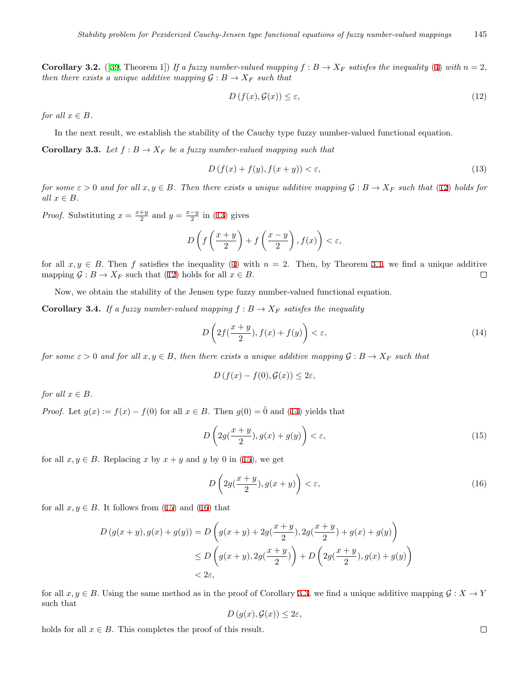**Corollary 3.2.** ([[39,](#page-10-2) Theorem 1]) If a fuzzy number-valued mapping  $f : B \to X_F$  satisfes the inequality [\(4](#page-2-0)) with  $n = 2$ , *then there exists a unique additive mapping*  $\mathcal{G}: B \to X_F$  *such that* 

<span id="page-4-1"></span><span id="page-4-0"></span>
$$
D\left(f(x), \mathcal{G}(x)\right) \le \varepsilon,\tag{12}
$$

*for all*  $x \in B$ *.* 

In the next result, we establish the stability of the Cauchy type fuzzy number-valued functional equation.

<span id="page-4-5"></span>**Corollary 3.3.** *Let*  $f : B \to X_F$  *be a fuzzy number-valued mapping such that* 

$$
D\left(f(x) + f(y), f(x+y)\right) < \varepsilon,\tag{13}
$$

*for some*  $\varepsilon > 0$  *and for all*  $x, y \in B$ *. Then there exists a unique additive mapping*  $G : B \to X_F$  *such that* ([12\)](#page-4-0) *holds for all x ∈ B.*

*Proof.* Substituting  $x = \frac{x+y}{2}$  and  $y = \frac{x-y}{2}$  in [\(13](#page-4-1)) gives

$$
D\left(f\left(\frac{x+y}{2}\right) + f\left(\frac{x-y}{2}\right), f(x)\right) < \varepsilon,
$$

for all  $x, y \in B$ . Then *f* satisfies the inequality ([4](#page-2-0)) with  $n = 2$ . Then, by Theorem [3.1,](#page-2-2) we find a unique additive mapping  $\mathcal{G}: B \to X_F$  such that ([12\)](#page-4-0) holds for all  $x \in B$ .  $\Box$ 

Now, we obtain the stability of the Jensen type fuzzy number-valued functional equation.

**Corollary 3.4.** If a fuzzy number-valued mapping  $f : B \to X_F$  satisfes the inequality

<span id="page-4-2"></span>
$$
D\left(2f(\frac{x+y}{2}), f(x) + f(y)\right) < \varepsilon,\tag{14}
$$

*for some*  $\varepsilon > 0$  *and for all*  $x, y \in B$ *, then there exists a unique additive mapping*  $\mathcal{G}: B \to X_F$  *such that* 

<span id="page-4-3"></span>
$$
D(f(x) - f(0), \mathcal{G}(x)) \le 2\varepsilon,
$$

*for all*  $x \in B$ *.* 

*Proof.* Let  $g(x) := f(x) - f(0)$  for all  $x \in B$ . Then  $g(0) = 0$  and [\(14](#page-4-2)) yields that

$$
D\left(2g(\frac{x+y}{2}), g(x)+g(y)\right) < \varepsilon,\tag{15}
$$

for all  $x, y \in B$ . Replacing *x* by  $x + y$  and *y* by 0 in ([15\)](#page-4-3), we get

<span id="page-4-4"></span>
$$
D\left(2g\left(\frac{x+y}{2}\right), g(x+y)\right) < \varepsilon,\tag{16}
$$

for all  $x, y \in B$ . It follows from ([15\)](#page-4-3) and [\(16](#page-4-4)) that

$$
D(g(x+y), g(x) + g(y)) = D\left(g(x+y) + 2g(\frac{x+y}{2}), 2g(\frac{x+y}{2}) + g(x) + g(y)\right)
$$
  
\n
$$
\leq D\left(g(x+y), 2g(\frac{x+y}{2})\right) + D\left(2g(\frac{x+y}{2}), g(x) + g(y)\right)
$$
  
\n
$$
< 2\varepsilon,
$$

for all  $x, y \in B$ . Using the same method as in the proof of Corollary 3.[3,](#page-4-5) we find a unique additive mapping  $G: X \to Y$ such that

$$
D(g(x), \mathcal{G}(x)) \leq 2\varepsilon,
$$

holds for all  $x \in B$ . This completes the proof of this result.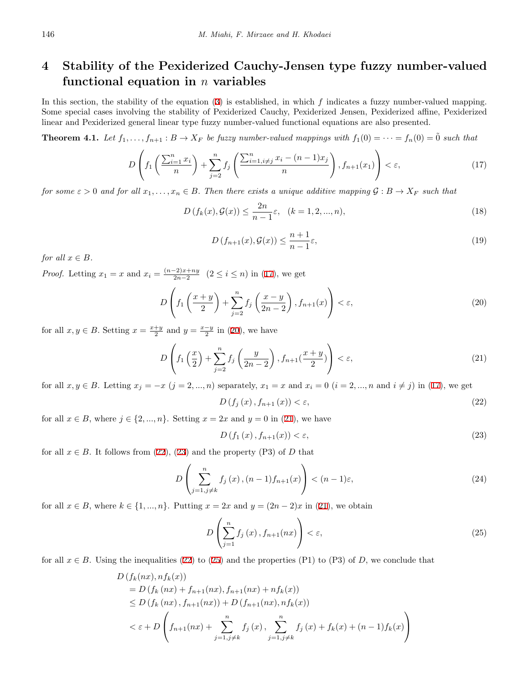## **4 Stability of the Pexiderized Cauchy-Jensen type fuzzy number-valued functional equation in** *n* **variables**

In this section, the stability of the equation [\(3](#page-1-1)) is established, in which *f* indicates a fuzzy number-valued mapping. Some special cases involving the stability of Pexiderized Cauchy, Pexiderized Jensen, Pexiderized affine, Pexiderized linear and Pexiderized general linear type fuzzy number-valued functional equations are also presented.

<span id="page-5-9"></span>**Theorem 4.1.** Let  $f_1, \ldots, f_{n+1} : B \to X_F$  be fuzzy number-valued mappings with  $f_1(0) = \cdots = f_n(0) = \tilde{0}$  such that

$$
D\left(f_1\left(\frac{\sum_{i=1}^n x_i}{n}\right) + \sum_{j=2}^n f_j\left(\frac{\sum_{i=1, i\neq j}^n x_i - (n-1)x_j}{n}\right), f_{n+1}(x_1)\right) < \varepsilon,\tag{17}
$$

<span id="page-5-8"></span>*for some*  $\varepsilon > 0$  *and for all*  $x_1, \ldots, x_n \in B$ . Then there exists a unique additive mapping  $\mathcal{G}: B \to X_F$  *such that* 

$$
D(f_k(x), \mathcal{G}(x)) \le \frac{2n}{n-1} \varepsilon, \quad (k = 1, 2, ..., n),
$$
\n(18)

<span id="page-5-6"></span><span id="page-5-0"></span>
$$
D(f_{n+1}(x), \mathcal{G}(x)) \le \frac{n+1}{n-1} \varepsilon,\tag{19}
$$

*for all*  $x \in B$ *.* 

*Proof.* Letting  $x_1 = x$  and  $x_i = \frac{(n-2)x + ny}{2n-2}$ 2*n−*2 (2 *≤ i ≤ n*) in [\(17](#page-5-0)), we get

<span id="page-5-1"></span>
$$
D\left(f_1\left(\frac{x+y}{2}\right) + \sum_{j=2}^n f_j\left(\frac{x-y}{2n-2}\right), f_{n+1}(x)\right) < \varepsilon,\tag{20}
$$

for all  $x, y \in B$ . Setting  $x = \frac{x+y}{2}$  and  $y = \frac{x-y}{2}$  in [\(20\)](#page-5-1), we have

<span id="page-5-2"></span>
$$
D\left(f_1\left(\frac{x}{2}\right) + \sum_{j=2}^n f_j\left(\frac{y}{2n-2}\right), f_{n+1}(\frac{x+y}{2})\right) < \varepsilon,\tag{21}
$$

for all  $x, y \in B$ . Letting  $x_j = -x$   $(j = 2, ..., n)$  separately,  $x_1 = x$  and  $x_i = 0$   $(i = 2, ..., n$  and  $i \neq j)$  in [\(17](#page-5-0)), we get

<span id="page-5-3"></span>
$$
D\left(f_j\left(x\right), f_{n+1}\left(x\right)\right) < \varepsilon,\tag{22}
$$

for all  $x \in B$ , where  $j \in \{2, ..., n\}$ . Setting  $x = 2x$  and  $y = 0$  in [\(21](#page-5-2)), we have

<span id="page-5-7"></span><span id="page-5-5"></span><span id="page-5-4"></span>
$$
D\left(f_1\left(x\right), f_{n+1}\left(x\right)\right) < \varepsilon,\tag{23}
$$

for all  $x \in B$ . It follows from [\(22](#page-5-3)), [\(23](#page-5-4)) and the property (P3) of *D* that

$$
D\left(\sum_{j=1,j\neq k}^{n} f_j(x), (n-1)f_{n+1}(x)\right) < (n-1)\varepsilon,\tag{24}
$$

for all  $x \in B$ , where  $k \in \{1, ..., n\}$ . Putting  $x = 2x$  and  $y = (2n - 2)x$  in ([21\)](#page-5-2), we obtain

$$
D\left(\sum_{j=1}^{n} f_j\left(x\right), f_{n+1}(nx)\right) < \varepsilon,\tag{25}
$$

for all  $x \in B$ . Using the inequalities ([22\)](#page-5-3) to ([25\)](#page-5-5) and the properties (P1) to (P3) of *D*, we conclude that

$$
D(f_k(nx), nf_k(x))
$$
  
=  $D(f_k(nx) + f_{n+1}(nx), f_{n+1}(nx) + nf_k(x))$   
 $\leq D(f_k(nx), f_{n+1}(nx)) + D(f_{n+1}(nx), nf_k(x))$   
 $< \epsilon + D\left(f_{n+1}(nx) + \sum_{j=1, j\neq k}^{n} f_j(x), \sum_{j=1, j\neq k}^{n} f_j(x) + f_k(x) + (n-1)f_k(x)\right)$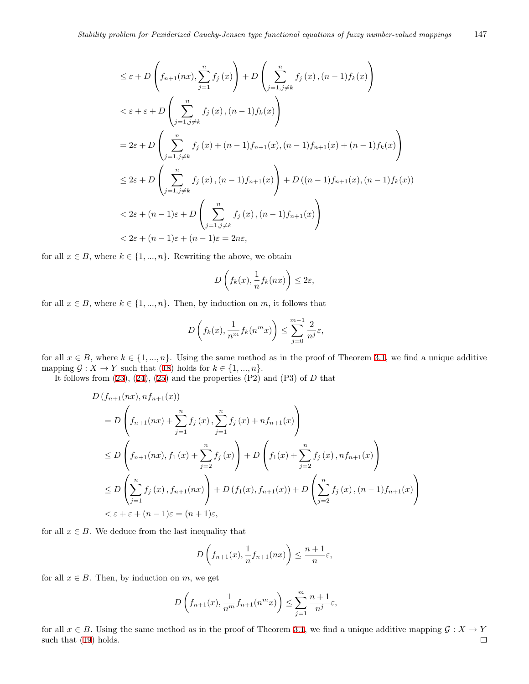$$
\leq \varepsilon + D\left(f_{n+1}(nx), \sum_{j=1}^{n} f_j(x)\right) + D\left(\sum_{j=1, j\neq k}^{n} f_j(x), (n-1)f_k(x)\right)
$$
  

$$
< \varepsilon + \varepsilon + D\left(\sum_{j=1, j\neq k}^{n} f_j(x), (n-1)f_k(x)\right)
$$
  

$$
= 2\varepsilon + D\left(\sum_{j=1, j\neq k}^{n} f_j(x) + (n-1)f_{n+1}(x), (n-1)f_{n+1}(x) + (n-1)f_k(x)\right)
$$
  

$$
\leq 2\varepsilon + D\left(\sum_{j=1, j\neq k}^{n} f_j(x), (n-1)f_{n+1}(x)\right) + D\left((n-1)f_{n+1}(x), (n-1)f_k(x)\right)
$$
  

$$
< 2\varepsilon + (n-1)\varepsilon + D\left(\sum_{j=1, j\neq k}^{n} f_j(x), (n-1)f_{n+1}(x)\right)
$$
  

$$
< 2\varepsilon + (n-1)\varepsilon + (n-1)\varepsilon = 2n\varepsilon,
$$

for all  $x \in B$ , where  $k \in \{1, ..., n\}$ . Rewriting the above, we obtain

$$
D\left(f_k(x), \frac{1}{n}f_k(nx)\right) \le 2\varepsilon,
$$

for all  $x \in B$ , where  $k \in \{1, ..., n\}$ . Then, by induction on *m*, it follows that

$$
D\left(f_k(x), \frac{1}{n^m} f_k(n^m x)\right) \le \sum_{j=0}^{m-1} \frac{2}{n^j} \varepsilon,
$$

for all  $x \in B$ , where  $k \in \{1, ..., n\}$  $k \in \{1, ..., n\}$  $k \in \{1, ..., n\}$ . Using the same method as in the proof of Theorem 3.1, we find a unique additive mapping  $\mathcal{G}: X \to Y$  such that ([18\)](#page-5-6) holds for  $k \in \{1, ..., n\}$ .

It follows from  $(23)$  $(23)$  $(23)$ ,  $(24)$  $(24)$ ,  $(25)$  $(25)$  and the properties  $(P2)$  and  $(P3)$  of *D* that

$$
D(f_{n+1}(nx), nf_{n+1}(x))
$$
  
=  $D\left(f_{n+1}(nx) + \sum_{j=1}^{n} f_j(x), \sum_{j=1}^{n} f_j(x) + nf_{n+1}(x)\right)$   

$$
\le D\left(f_{n+1}(nx), f_1(x) + \sum_{j=2}^{n} f_j(x)\right) + D\left(f_1(x) + \sum_{j=2}^{n} f_j(x), nf_{n+1}(x)\right)
$$
  

$$
\le D\left(\sum_{j=1}^{n} f_j(x), f_{n+1}(nx)\right) + D(f_1(x), f_{n+1}(x)) + D\left(\sum_{j=2}^{n} f_j(x), (n-1)f_{n+1}(x)\right)
$$
  

$$
< \varepsilon + \varepsilon + (n-1)\varepsilon = (n+1)\varepsilon,
$$

for all  $x \in B$ . We deduce from the last inequality that

$$
D\left(f_{n+1}(x), \frac{1}{n}f_{n+1}(nx)\right) \le \frac{n+1}{n}\varepsilon,
$$

for all  $x \in B$ . Then, by induction on  $m$ , we get

$$
D\left(f_{n+1}(x), \frac{1}{n^m}f_{n+1}(n^mx)\right) \le \sum_{j=1}^m \frac{n+1}{n^j}\varepsilon,
$$

for all  $x \in B$ . Using the same method as in the proof of Theorem 3.[1,](#page-2-2) we find a unique additive mapping  $G : X \to Y$ such that [\(19](#page-5-8)) holds. $\Box$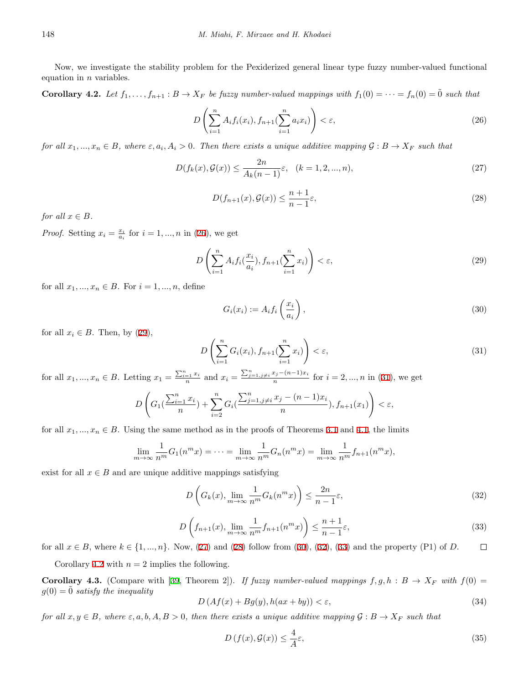Now, we investigate the stability problem for the Pexiderized general linear type fuzzy number-valued functional equation in *n* variables.

<span id="page-7-8"></span>**Corollary 4.2.** Let  $f_1, \ldots, f_{n+1} : B \to X_F$  be fuzzy number-valued mappings with  $f_1(0) = \cdots = f_n(0) = \tilde{0}$  such that

$$
D\left(\sum_{i=1}^{n} A_i f_i(x_i), f_{n+1}(\sum_{i=1}^{n} a_i x_i)\right) < \varepsilon,\tag{26}
$$

for all  $x_1, ..., x_n \in B$ , where  $\varepsilon, a_i, A_i > 0$ . Then there exists a unique additive mapping  $\mathcal{G}: B \to X_F$  such that

$$
D(f_k(x), \mathcal{G}(x)) \le \frac{2n}{A_k(n-1)} \varepsilon, \quad (k = 1, 2, ..., n),
$$
\n(27)

<span id="page-7-3"></span><span id="page-7-1"></span><span id="page-7-0"></span>
$$
D(f_{n+1}(x), \mathcal{G}(x)) \le \frac{n+1}{n-1} \varepsilon,\tag{28}
$$

<span id="page-7-4"></span>*for all*  $x \in B$ *.* 

*Proof.* Setting  $x_i = \frac{x_i}{a_i}$  for  $i = 1, ..., n$  in [\(26](#page-7-0)), we get

$$
D\left(\sum_{i=1}^{n} A_i f_i(\frac{x_i}{a_i}), f_{n+1}(\sum_{i=1}^{n} x_i)\right) < \varepsilon,\tag{29}
$$

for all  $x_1, ..., x_n \in B$ . For  $i = 1, ..., n$ , define

<span id="page-7-5"></span>
$$
G_i(x_i) := A_i f_i\left(\frac{x_i}{a_i}\right),\tag{30}
$$

for all  $x_i \in B$ . Then, by  $(29)$  $(29)$ ,

<span id="page-7-2"></span>
$$
D\left(\sum_{i=1}^{n}G_i(x_i), f_{n+1}(\sum_{i=1}^{n}x_i)\right) < \varepsilon,\tag{31}
$$

for all  $x_1, ..., x_n \in B$ . Letting  $x_1 = \frac{\sum_{i=1}^n x_i}{n}$  and  $x_i = \frac{\sum_{j=1, j\neq i}^n x_j - (n-1)x_i}{n}$  for  $i = 2, ..., n$  in [\(31](#page-7-2)), we get

$$
D\left(G_1(\frac{\sum_{i=1}^n x_i}{n}) + \sum_{i=2}^n G_i(\frac{\sum_{j=1,j\neq i}^n x_j - (n-1)x_i}{n}), f_{n+1}(x_1)\right) < \varepsilon,
$$

for all  $x_1, \ldots, x_n \in B$  $x_1, \ldots, x_n \in B$  $x_1, \ldots, x_n \in B$ . Using the same method as in the proofs of Theorems 3.1 and [4](#page-5-9).1, the limits

$$
\lim_{m \to \infty} \frac{1}{n^m} G_1(n^m x) = \dots = \lim_{m \to \infty} \frac{1}{n^m} G_n(n^m x) = \lim_{m \to \infty} \frac{1}{n^m} f_{n+1}(n^m x),
$$

<span id="page-7-7"></span>exist for all  $x \in B$  and are unique additive mappings satisfying

<span id="page-7-6"></span>
$$
D\left(G_k(x), \lim_{m \to \infty} \frac{1}{n^m} G_k(n^m x)\right) \le \frac{2n}{n-1} \varepsilon,
$$
\n(32)

$$
D\left(f_{n+1}(x), \lim_{m \to \infty} \frac{1}{n^m} f_{n+1}(n^m x)\right) \le \frac{n+1}{n-1} \varepsilon,\tag{33}
$$

for all  $x \in B$ , where  $k \in \{1, ..., n\}$ . Now, [\(27](#page-7-3)) and ([28\)](#page-7-4) follow from [\(30](#page-7-5)), ([32\)](#page-7-6), ([33\)](#page-7-7) and the property (P1) of *D*.  $\Box$ 

Corollary [4](#page-7-8).2 with  $n = 2$  implies the following.

**Corollary 4.3.** (Compare with [[39,](#page-10-2) Theorem 2]). If fuzzy number-valued mappings  $f, g, h : B \to X_F$  with  $f(0) =$  $g(0) = 0$  *satisfy the inequality* 

<span id="page-7-9"></span>
$$
D\left(Af(x) + Bg(y), h(ax + by)\right) < \varepsilon,\tag{34}
$$

*for all*  $x, y \in B$ *, where*  $\varepsilon$ *, a, b, A, B > 0, then there exists a unique additive mapping*  $G : B \to X_F$  *such that* 

<span id="page-7-10"></span>
$$
D\left(f(x), \mathcal{G}(x)\right) \le \frac{4}{A}\varepsilon,\tag{35}
$$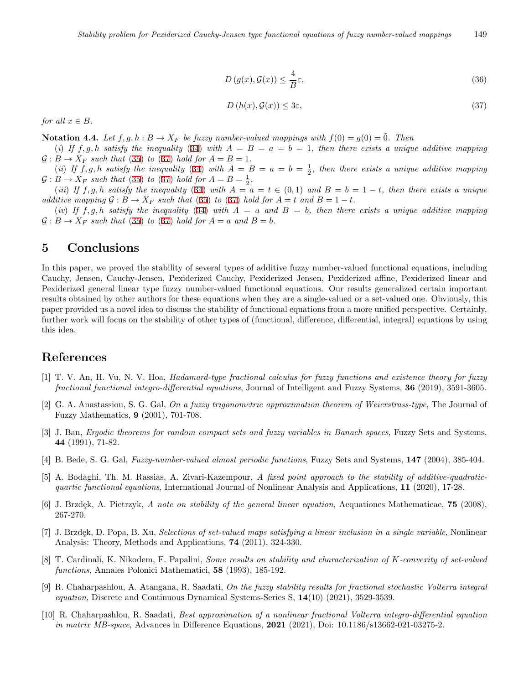$$
D(g(x), \mathcal{G}(x)) \le \frac{4}{B}\varepsilon,\tag{36}
$$

$$
D(h(x), \mathcal{G}(x)) \le 3\varepsilon,\tag{37}
$$

<span id="page-8-10"></span>*for all*  $x \in B$ *.* 

**Notation 4.4.** *Let*  $f, g, h : B \to X_F$  *be fuzzy number-valued mappings with*  $f(0) = g(0) = 0$ *. Then* 

(*i*) If  $f, g, h$  satisfy the inequality [\(34](#page-7-9)) with  $A = B = a = b = 1$ , then there exists a unique additive mapping  $G : B \to X_F$  *such that* ([35\)](#page-7-10) *to* ([37\)](#page-8-10) *hold for*  $A = B = 1$ *.* 

(*ii*) If  $f, g, h$  satisfy the inequality ([34\)](#page-7-9) with  $A = B = a = b = \frac{1}{2}$ , then there exists a unique additive mapping  $G : B \to X_F$  *such that* ([35\)](#page-7-10) *to* ([37\)](#page-8-10) *hold for*  $A = B = \frac{1}{2}$ *.* 

(iii) If f, g, h satisfy the inequality ([34\)](#page-7-9) with  $A = a = t \in (0,1)$  and  $B = b = 1-t$ , then there exists a unique *additive mapping*  $G : B \to X_F$  *such that* ([35](#page-7-10)) *to* [\(37](#page-8-10)) *hold for*  $A = t$  *and*  $B = 1 - t$ *.* 

(*iv*) If  $f, g, h$  satisfy the inequality [\(34](#page-7-9)) with  $A = a$  and  $B = b$ , then there exists a unique additive mapping  $G: B \to X_F$  *such that* ([35\)](#page-7-10) *to* ([37\)](#page-8-10) *hold for*  $A = a$  *and*  $B = b$ *.* 

#### **5 Conclusions**

In this paper, we proved the stability of several types of additive fuzzy number-valued functional equations, including Cauchy, Jensen, Cauchy-Jensen, Pexiderized Cauchy, Pexiderized Jensen, Pexiderized affine, Pexiderized linear and Pexiderized general linear type fuzzy number-valued functional equations. Our results generalized certain important results obtained by other authors for these equations when they are a single-valued or a set-valued one. Obviously, this paper provided us a novel idea to discuss the stability of functional equations from a more unified perspective. Certainly, further work will focus on the stability of other types of (functional, difference, differential, integral) equations by using this idea.

### **References**

- <span id="page-8-3"></span>[1] T. V. An, H. Vu, N. V. Hoa, *Hadamard-type fractional calculus for fuzzy functions and existence theory for fuzzy fractional functional integro-differential equations*, Journal of Intelligent and Fuzzy Systems, **36** (2019), 3591-3605.
- <span id="page-8-8"></span>[2] G. A. Anastassiou, S. G. Gal, *On a fuzzy trigonometric approximation theorem of Weierstrass-type*, The Journal of Fuzzy Mathematics, **9** (2001), 701-708.
- <span id="page-8-7"></span>[3] J. Ban, *Ergodic theorems for random compact sets and fuzzy variables in Banach spaces*, Fuzzy Sets and Systems, **44** (1991), 71-82.
- <span id="page-8-9"></span>[4] B. Bede, S. G. Gal, *Fuzzy-number-valued almost periodic functions*, Fuzzy Sets and Systems, **147** (2004), 385-404.
- <span id="page-8-4"></span>[5] A. Bodaghi, Th. M. Rassias, A. Zivari-Kazempour, *A fixed point approach to the stability of additive-quadraticquartic functional equations*, International Journal of Nonlinear Analysis and Applications, **11** (2020), 17-28.
- <span id="page-8-2"></span>[6] J. Brzdek, A. Pietrzyk, A note on stability of the general linear equation, Aequationes Mathematicae, **75** (2008), 267-270.
- <span id="page-8-0"></span>[7] J. Brzdęk, D. Popa, B. Xu, *Selections of set-valued maps satisfying a linear inclusion in a single variable*, Nonlinear Analysis: Theory, Methods and Applications, **74** (2011), 324-330.
- <span id="page-8-1"></span>[8] T. Cardinali, K. Nikodem, F. Papalini, *Some results on stability and characterization of K-convexity of set-valued functions*, Annales Polonici Mathematici, **58** (1993), 185-192.
- <span id="page-8-5"></span>[9] R. Chaharpashlou, A. Atangana, R. Saadati, *On the fuzzy stability results for fractional stochastic Volterra integral equation*, Discrete and Continuous Dynamical Systems-Series S, **14**(10) (2021), 3529-3539.
- <span id="page-8-6"></span>[10] R. Chaharpashlou, R. Saadati, *Best approximation of a nonlinear fractional Volterra integro-differential equation in matrix MB-space*, Advances in Difference Equations, **2021** (2021), Doi: 10.1186/s13662-021-03275-2.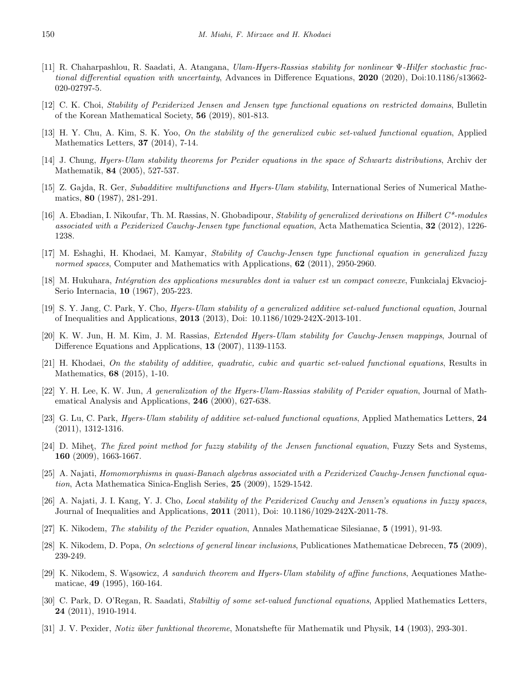- <span id="page-9-19"></span>[11] R. Chaharpashlou, R. Saadati, A. Atangana, *Ulam-Hyers-Rassias stability for nonlinear* Ψ*-Hilfer stochastic fractional differential equation with uncertainty*, Advances in Difference Equations, **2020** (2020), Doi:10.1186/s13662- 020-02797-5.
- <span id="page-9-13"></span>[12] C. K. Choi, *Stability of Pexiderized Jensen and Jensen type functional equations on restricted domains*, Bulletin of the Korean Mathematical Society, **56** (2019), 801-813.
- <span id="page-9-6"></span>[13] H. Y. Chu, A. Kim, S. K. Yoo, *On the stability of the generalized cubic set-valued functional equation*, Applied Mathematics Letters, **37** (2014), 7-14.
- <span id="page-9-14"></span>[14] J. Chung, *Hyers-Ulam stability theorems for Pexider equations in the space of Schwartz distributions*, Archiv der Mathematik, **84** (2005), 527-537.
- <span id="page-9-0"></span>[15] Z. Gajda, R. Ger, *Subadditive multifunctions and Hyers-Ulam stability*, International Series of Numerical Mathematics, **80** (1987), 281-291.
- <span id="page-9-15"></span>[16] A. Ebadian, I. Nikoufar, Th. M. Rassias, N. Ghobadipour, *Stability of generalized derivations on Hilbert C\*-modules associated with a Pexiderized Cauchy-Jensen type functional equation*, Acta Mathematica Scientia, **32** (2012), 1226- 1238.
- <span id="page-9-7"></span>[17] M. Eshaghi, H. Khodaei, M. Kamyar, *Stability of Cauchy-Jensen type functional equation in generalized fuzzy normed spaces*, Computer and Mathematics with Applications, **62** (2011), 2950-2960.
- <span id="page-9-20"></span>[18] M. Hukuhara, *Int´egration des applications mesurables dont ia valuer est un compact convexe*, Funkcialaj Ekvacioj-Serio Internacia, **10** (1967), 205-223.
- <span id="page-9-5"></span>[19] S. Y. Jang, C. Park, Y. Cho, *Hyers-Ulam stability of a generalized additive set-valued functional equation*, Journal of Inequalities and Applications, **2013** (2013), Doi: 10.1186/1029-242X-2013-101.
- <span id="page-9-8"></span>[20] K. W. Jun, H. M. Kim, J. M. Rassias, *Extended Hyers-Ulam stability for Cauchy-Jensen mappings*, Journal of Difference Equations and Applications, **13** (2007), 1139-1153.
- <span id="page-9-1"></span>[21] H. Khodaei, *On the stability of additive, quadratic, cubic and quartic set-valued functional equations*, Results in Mathematics, **68** (2015), 1-10.
- <span id="page-9-16"></span>[22] Y. H. Lee, K. W. Jun, *A generalization of the Hyers-Ulam-Rassias stability of Pexider equation*, Journal of Mathematical Analysis and Applications, **246** (2000), 627-638.
- <span id="page-9-3"></span>[23] G. Lu, C. Park, *Hyers-Ulam stability of additive set-valued functional equations*, Applied Mathematics Letters, **24** (2011), 1312-1316.
- <span id="page-9-9"></span>[24] D. Mihet, *The fixed point method for fuzzy stability of the Jensen functional equation*, Fuzzy Sets and Systems, **160** (2009), 1663-1667.
- <span id="page-9-17"></span>[25] A. Najati, *Homomorphisms in quasi-Banach algebras associated with a Pexiderized Cauchy-Jensen functional equation*, Acta Mathematica Sinica-English Series, **25** (2009), 1529-1542.
- <span id="page-9-18"></span>[26] A. Najati, J. I. Kang, Y. J. Cho, *Local stability of the Pexiderized Cauchy and Jensen's equations in fuzzy spaces*, Journal of Inequalities and Applications, **2011** (2011), Doi: 10.1186/1029-242X-2011-78.
- <span id="page-9-12"></span>[27] K. Nikodem, *The stability of the Pexider equation*, Annales Mathematicae Silesianae, **5** (1991), 91-93.
- <span id="page-9-2"></span>[28] K. Nikodem, D. Popa, *On selections of general linear inclusions*, Publicationes Mathematicae Debrecen, **75** (2009), 239-249.
- <span id="page-9-10"></span>[29] K. Nikodem, S. Wąsowicz, *A sandwich theorem and Hyers-Ulam stability of affine functions*, Aequationes Mathematicae, **49** (1995), 160-164.
- <span id="page-9-4"></span>[30] C. Park, D. O'Regan, R. Saadati, *Stabiltiy of some set-valued functional equations*, Applied Mathematics Letters, **24** (2011), 1910-1914.
- <span id="page-9-11"></span>[31] J. V. Pexider, *Notiz über funktional theoreme*, Monatshefte für Mathematik und Physik, 14 (1903), 293-301.